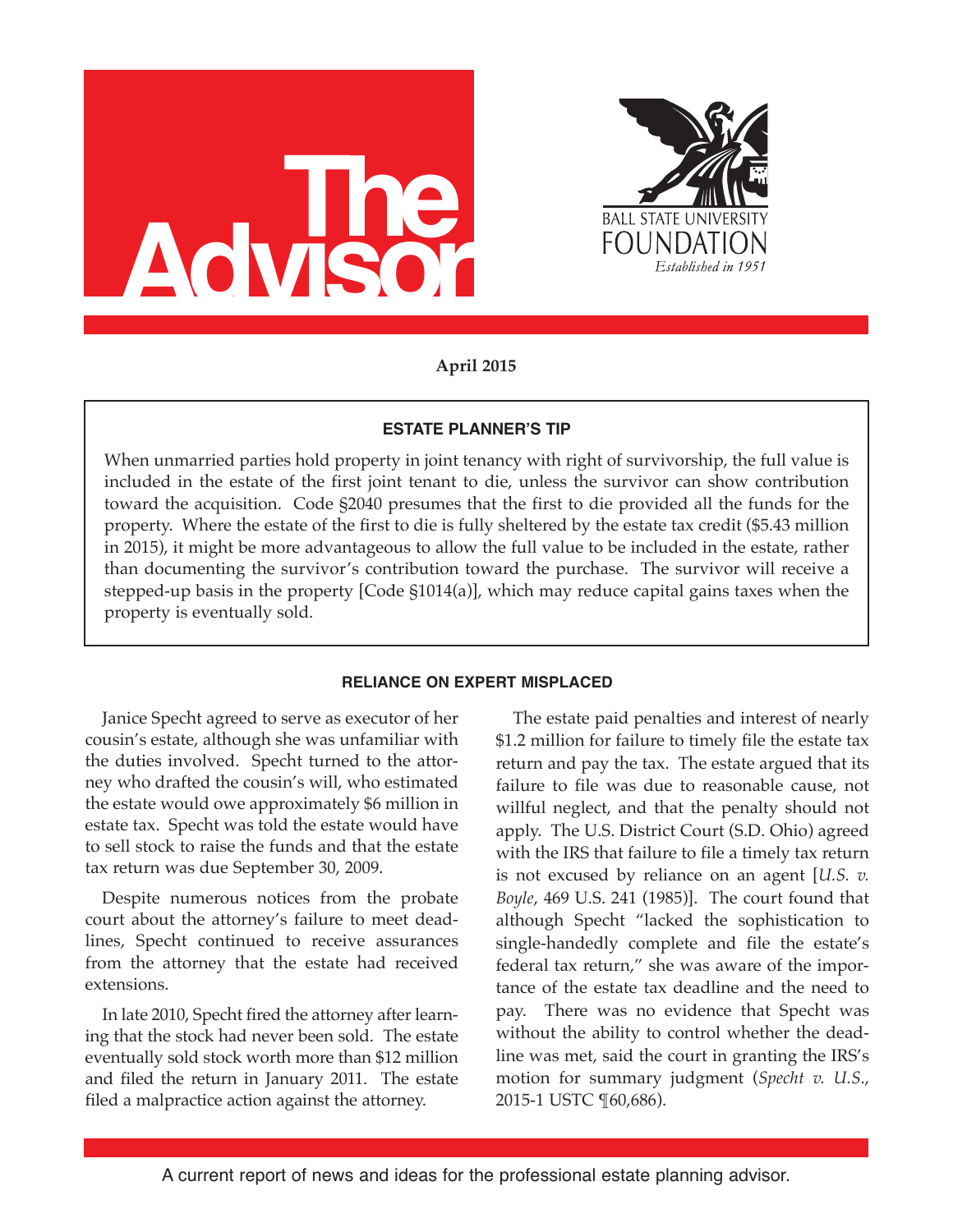



**April 2015**

# **ESTATE PLANNER'S TIP**

When unmarried parties hold property in joint tenancy with right of survivorship, the full value is included in the estate of the first joint tenant to die, unless the survivor can show contribution toward the acquisition. Code §2040 presumes that the first to die provided all the funds for the property. Where the estate of the first to die is fully sheltered by the estate tax credit (\$5.43 million in 2015), it might be more advantageous to allow the full value to be included in the estate, rather than documenting the survivor's contribution toward the purchase. The survivor will receive a stepped-up basis in the property [Code §1014(a)], which may reduce capital gains taxes when the property is eventually sold.

# **RELIANCE ON EXPERT MISPLACED**

Janice Specht agreed to serve as executor of her cousin's estate, although she was unfamiliar with the duties involved. Specht turned to the attorney who drafted the cousin's will, who estimated the estate would owe approximately \$6 million in estate tax. Specht was told the estate would have to sell stock to raise the funds and that the estate tax return was due September 30, 2009.

Despite numerous notices from the probate court about the attorney's failure to meet deadlines, Specht continued to receive assurances from the attorney that the estate had received extensions.

In late 2010, Specht fired the attorney after learning that the stock had never been sold. The estate eventually sold stock worth more than \$12 million and filed the return in January 2011. The estate filed a malpractice action against the attorney.

The estate paid penalties and interest of nearly \$1.2 million for failure to timely file the estate tax return and pay the tax. The estate argued that its failure to file was due to reasonable cause, not willful neglect, and that the penalty should not apply. The U.S. District Court (S.D. Ohio) agreed with the IRS that failure to file a timely tax return is not excused by reliance on an agent [*U.S. v. Boyle*, 469 U.S. 241 (1985)]. The court found that although Specht "lacked the sophistication to single-handedly complete and file the estate's federal tax return," she was aware of the importance of the estate tax deadline and the need to pay. There was no evidence that Specht was without the ability to control whether the deadline was met, said the court in granting the IRS's motion for summary judgment (*Specht v. U.S*., 2015-1 USTC ¶60,686).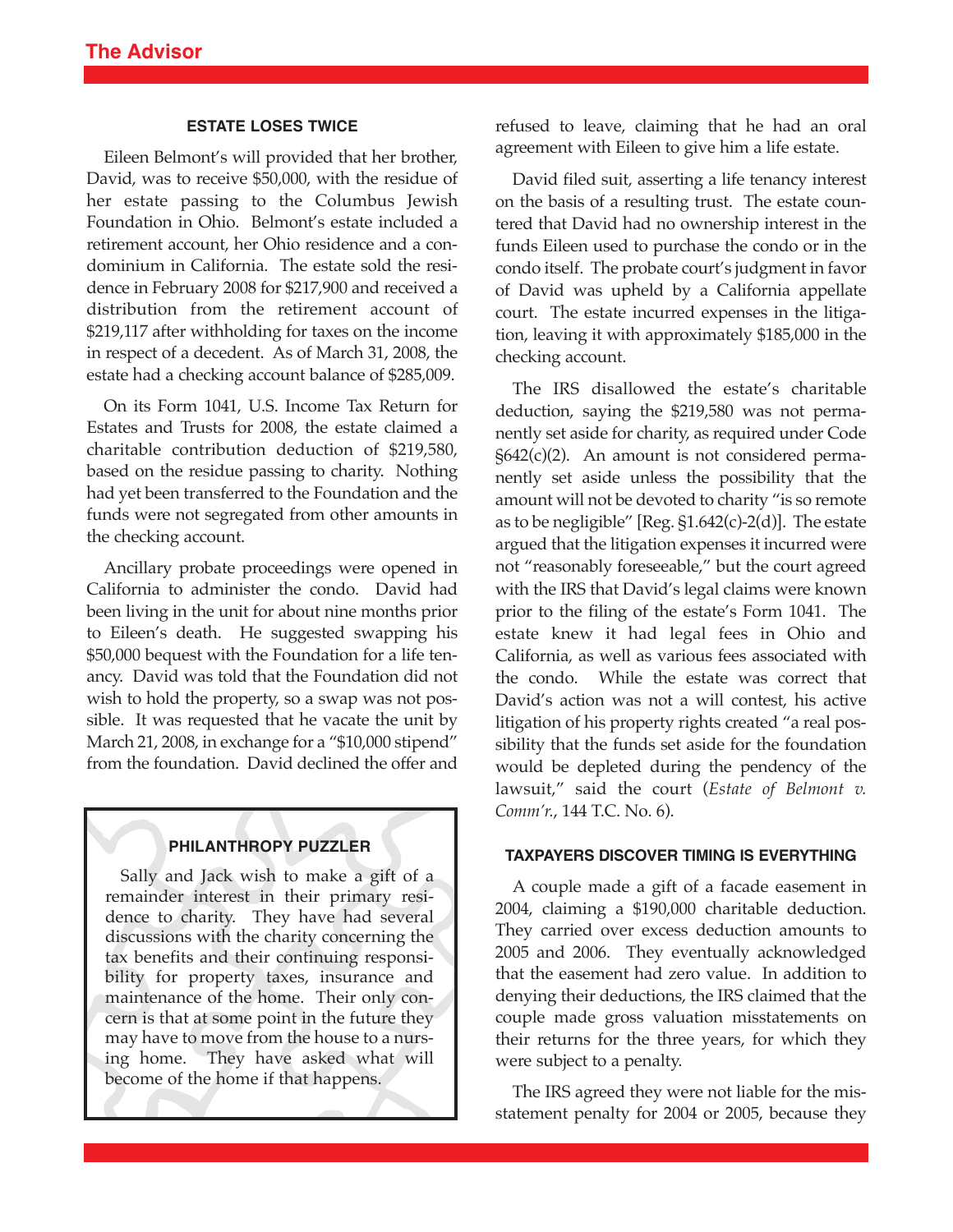## **ESTATE LOSES TWICE**

Eileen Belmont's will provided that her brother, David, was to receive \$50,000, with the residue of her estate passing to the Columbus Jewish Foundation in Ohio. Belmont's estate included a retirement account, her Ohio residence and a condominium in California. The estate sold the residence in February 2008 for \$217,900 and received a distribution from the retirement account of \$219,117 after withholding for taxes on the income in respect of a decedent. As of March 31, 2008, the estate had a checking account balance of \$285,009.

On its Form 1041, U.S. Income Tax Return for Estates and Trusts for 2008, the estate claimed a charitable contribution deduction of \$219,580, based on the residue passing to charity. Nothing had yet been transferred to the Foundation and the funds were not segregated from other amounts in the checking account.

Ancillary probate proceedings were opened in California to administer the condo. David had been living in the unit for about nine months prior to Eileen's death. He suggested swapping his \$50,000 bequest with the Foundation for a life tenancy. David was told that the Foundation did not wish to hold the property, so a swap was not possible. It was requested that he vacate the unit by March 21, 2008, in exchange for a "\$10,000 stipend" from the foundation. David declined the offer and

# **PHILANTHROPY PUZZLER**

Sally and Jack wish to make a gift of a remainder interest in their primary residence to charity. They have had several discussions with the charity concerning the tax benefits and their continuing responsibility for property taxes, insurance and maintenance of the home. Their only concern is that at some point in the future they may have to move from the house to a nursing home. They have asked what will become of the home if that happens.

refused to leave, claiming that he had an oral agreement with Eileen to give him a life estate.

David filed suit, asserting a life tenancy interest on the basis of a resulting trust. The estate countered that David had no ownership interest in the funds Eileen used to purchase the condo or in the condo itself. The probate court's judgment in favor of David was upheld by a California appellate court. The estate incurred expenses in the litigation, leaving it with approximately \$185,000 in the checking account.

The IRS disallowed the estate's charitable deduction, saying the \$219,580 was not permanently set aside for charity, as required under Code §642(c)(2). An amount is not considered permanently set aside unless the possibility that the amount will not be devoted to charity "is so remote as to be negligible" [Reg. §1.642(c)-2(d)]. The estate argued that the litigation expenses it incurred were not "reasonably foreseeable," but the court agreed with the IRS that David's legal claims were known prior to the filing of the estate's Form 1041. The estate knew it had legal fees in Ohio and California, as well as various fees associated with the condo. While the estate was correct that David's action was not a will contest, his active litigation of his property rights created "a real possibility that the funds set aside for the foundation would be depleted during the pendency of the lawsuit," said the court (*Estate of Belmont v. Comm'r.*, 144 T.C. No. 6).

# **TAXPAYERS DISCOVER TIMING IS EVERYTHING**

A couple made a gift of a facade easement in 2004, claiming a \$190,000 charitable deduction. They carried over excess deduction amounts to 2005 and 2006. They eventually acknowledged that the easement had zero value. In addition to denying their deductions, the IRS claimed that the couple made gross valuation misstatements on their returns for the three years, for which they were subject to a penalty.

The IRS agreed they were not liable for the misstatement penalty for 2004 or 2005, because they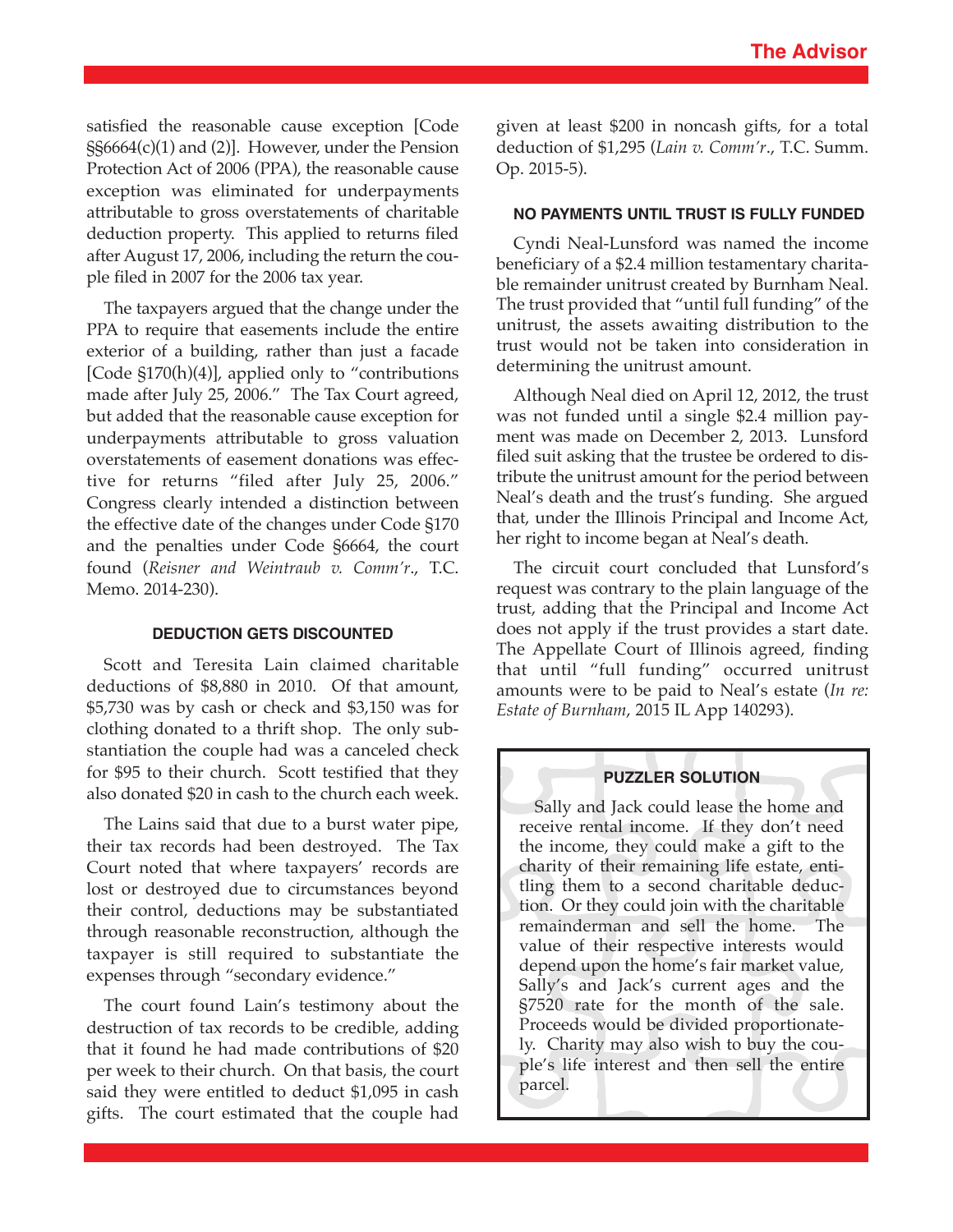satisfied the reasonable cause exception [Code §§6664(c)(1) and (2)]. However, under the Pension Protection Act of 2006 (PPA), the reasonable cause exception was eliminated for underpayments attributable to gross overstatements of charitable deduction property. This applied to returns filed after August 17, 2006, including the return the couple filed in 2007 for the 2006 tax year.

The taxpayers argued that the change under the PPA to require that easements include the entire exterior of a building, rather than just a facade [Code §170(h)(4)], applied only to "contributions made after July 25, 2006." The Tax Court agreed, but added that the reasonable cause exception for underpayments attributable to gross valuation overstatements of easement donations was effective for returns "filed after July 25, 2006." Congress clearly intended a distinction between the effective date of the changes under Code §170 and the penalties under Code §6664, the court found (*Reisner and Weintraub v. Comm'r*., T.C. Memo. 2014-230).

## **DEDUCTION GETS DISCOUNTED**

Scott and Teresita Lain claimed charitable deductions of \$8,880 in 2010. Of that amount, \$5,730 was by cash or check and \$3,150 was for clothing donated to a thrift shop. The only substantiation the couple had was a canceled check for \$95 to their church. Scott testified that they also donated \$20 in cash to the church each week.

The Lains said that due to a burst water pipe, their tax records had been destroyed. The Tax Court noted that where taxpayers' records are lost or destroyed due to circumstances beyond their control, deductions may be substantiated through reasonable reconstruction, although the taxpayer is still required to substantiate the expenses through "secondary evidence."

The court found Lain's testimony about the destruction of tax records to be credible, adding that it found he had made contributions of \$20 per week to their church. On that basis, the court said they were entitled to deduct \$1,095 in cash gifts. The court estimated that the couple had

given at least \$200 in noncash gifts, for a total deduction of \$1,295 (*Lain v. Comm'r*., T.C. Summ. Op. 2015-5).

## **NO PAYMENTS UNTIL TRUST IS FULLY FUNDED**

Cyndi Neal-Lunsford was named the income beneficiary of a \$2.4 million testamentary charitable remainder unitrust created by Burnham Neal. The trust provided that "until full funding" of the unitrust, the assets awaiting distribution to the trust would not be taken into consideration in determining the unitrust amount.

Although Neal died on April 12, 2012, the trust was not funded until a single \$2.4 million payment was made on December 2, 2013. Lunsford filed suit asking that the trustee be ordered to distribute the unitrust amount for the period between Neal's death and the trust's funding. She argued that, under the Illinois Principal and Income Act, her right to income began at Neal's death.

The circuit court concluded that Lunsford's request was contrary to the plain language of the trust, adding that the Principal and Income Act does not apply if the trust provides a start date. The Appellate Court of Illinois agreed, finding that until "full funding" occurred unitrust amounts were to be paid to Neal's estate (*In re: Estate of Burnham*, 2015 IL App 140293).

## **PUZZLER SOLUTION**

Sally and Jack could lease the home and receive rental income. If they don't need the income, they could make a gift to the charity of their remaining life estate, entitling them to a second charitable deduction. Or they could join with the charitable remainderman and sell the home. The value of their respective interests would depend upon the home's fair market value, Sally's and Jack's current ages and the §7520 rate for the month of the sale. Proceeds would be divided proportionately. Charity may also wish to buy the couple's life interest and then sell the entire parcel.